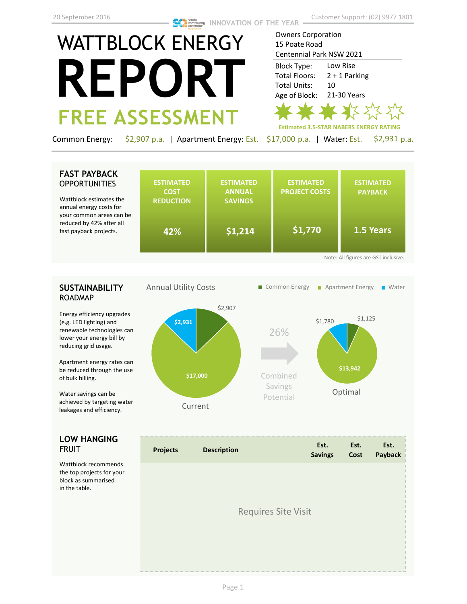# WATTBLOCK ENERGY **REPORT FREE ASSESSMENT**

**Estimated 3.5-STAR NABERS ENERGY RATING** Owners Corporation 15 Poate Road Centennial Park NSW 2021 Low Rise 2 + 1 Parking 10 21-30 Years Block Type: Total Floors: Total Units: Age of Block:

Common Energy: \$2,907 p.a. | Apartment Energy: Est. \$17,000 p.a. | Water: Est. \$2,931 p.a.

## **FAST PAYBACK OPPORTUNITIES**

Wattblock estimates the annual energy costs for your common areas can be reduced by 42% after all fast payback projects.

|    | <b>REDUCTION</b> | <b>SAVINGS</b> |         |           |
|----|------------------|----------------|---------|-----------|
| be | 42%              | \$1,214        | \$1,770 | 1.5 Years |

# **SUSTAINABILITY** ROADMAP

Energy efficiency upgrades (e.g. LED lighting) and renewable technologies can lower your energy bill by reducing grid usage.

Apartment energy rates can be reduced through the use of bulk billing.

Water savings can be achieved by targeting water leakages and efficiency.

## **LOW HANGING**  FRUIT

Wattblock recommends the top projects for your block as summarised in the table.



|  | <b>Requires Site Visit</b> |  |
|--|----------------------------|--|